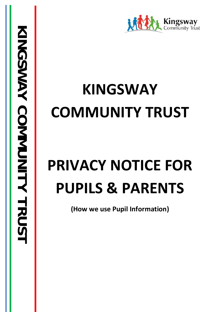

## **KINGSWAY COMMUNITY TRUST**

# **PRIVACY NOTICE FOR PUPILS & PARENTS**

**(How we use Pupil Information)**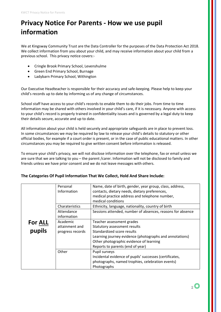## **Privacy Notice For Parents - How we use pupil information**

We at Kingsway Community Trust are the Data Controller for the purposes of the Data Protection Act 2018. We collect information from you about your child, and may receive information about your child from a previous school. This privacy notice covers:-

- Cringle Brook Primary School, Levenshulme
- Green End Primary School, Burnage
- Ladybarn Primary School, Withington

Our Executive Headteacher is responsible for their accuracy and safe-keeping. Please help to keep your child's records up to date by informing us of any change of circumstances.

School staff have access to your child's records to enable them to do their jobs. From time to time information may be shared with others involved in your child's care, if it is necessary. Anyone with access to your child's record is properly trained in confidentiality issues and is governed by a legal duty to keep their details secure, accurate and up to date.

All information about your child is held securely and appropriate safeguards are in place to prevent loss. In some circumstances we may be required by law to release your child's details to statutory or other official bodies, for example if a court order is present, or in the case of public educational matters. In other circumstances you may be required to give written consent before information is released.

To ensure your child's privacy, we will not disclose information over the telephone, fax or email unless we are sure that we are talking to you – the parent /carer. Information will not be disclosed to family and friends unless we have prior consent and we do not leave messages with others.

#### **The Categories Of Pupil Information That We Collect, Hold And Share Include:**

|         | Personal         | Name, date of birth, gender, year group, class, address,   |
|---------|------------------|------------------------------------------------------------|
|         | Information      | contacts, dietary needs, dietary preferences,              |
|         |                  | medical practice address and telephone number,             |
|         |                  | medical conditions                                         |
|         | Charateristics   | Ethnicity, language, nationality, country of birth         |
|         | Attendance       | Sessions attended, number of absences, reasons for absence |
|         | information      |                                                            |
| For ALL | Academic         | Teacher assessment grades                                  |
|         | attainment and   | Statutory assessment results                               |
| pupils  | progress records | Standardized score results                                 |
|         |                  | Learning journey evidence (photographs and annotations)    |
|         |                  | Other photographic evidence of learning                    |
|         |                  | Reports to parents (end of year)                           |
|         | Other            | Pupil surveys                                              |
|         |                  | Incidental evidence of pupils' successes (certificates,    |
|         |                  | photographs, named trophies, celebration events)           |
|         |                  | Photographs                                                |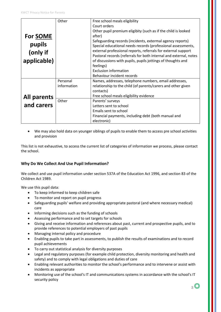|                    | Other       | Free school meals eligibility                                     |
|--------------------|-------------|-------------------------------------------------------------------|
|                    |             | Court orders                                                      |
|                    |             | Other pupil premium eligibity (such as if the child is looked     |
| <b>For SOME</b>    |             | after)                                                            |
|                    |             | Safeguarding records (incidents, extermal agency reports)         |
| pupils             |             | Special educational needs records (professional assessments,      |
| (only if           |             | external professional reports, referrals for external support     |
|                    |             | Pastoral records (referrals for both internal and external, notes |
| applicable)        |             | of discussions with pupils, pupils jottings of thoughts and       |
|                    |             | feelings)                                                         |
|                    |             | <b>Exclusion information</b>                                      |
|                    |             | Behaviour incident records                                        |
|                    | Personal    | Names, addresses, telephone numbers, email addresses,             |
|                    | information | relationship to the child (of parents/carers and other given      |
|                    |             | contacts)                                                         |
| <b>All parents</b> |             | Free school meals eligibility evidence                            |
|                    | Other       | Parents' surveys                                                  |
| and carers         |             | Letters sent to school                                            |
|                    |             | Emails sent to school                                             |
|                    |             | Financial payments, including debt (both manual and               |
|                    |             | electronic)                                                       |

• We may also hold data on younger siblings of pupils to enable them to access pre school activities and provision

This list is not exhaustive, to access the current list of categories of information we process, please contact the school.

#### **Why Do We Collect And Use Pupil Information?**

We collect and use pupil information under section 537A of the Education Act 1996, and section 83 of the Children Act 1989.

We use this pupil data:

- To keep informed to keep children safe
- To monitor and report on pupil progress
- Safeguarding pupils' welfare and providing appropriate pastoral (and where necessary medical) care
- Informing decisions such as the funding of schools
- Assessing performance and to set targets for schools
- Giving and receive information and references about past, current and prospective pupils, and to provide references to potential employers of past pupils
- Managing internal policy and procedure
- Enabling pupils to take part in assessments, to publish the results of examinations and to record pupil achievements
- To carry out statistical analysis for diversity purposes
- Legal and regulatory purposes (for example child protection, diversity monitoring and health and safety) and to comply with legal obligations and duties of care
- Enabling relevant authorities to monitor the school's performance and to intervene or assist with incidents as appropriate
- Monitoring use of the school's IT and communications systems in accordance with the school's IT security policy

 $\overline{3}$   $\overline{\mathbb{O}}$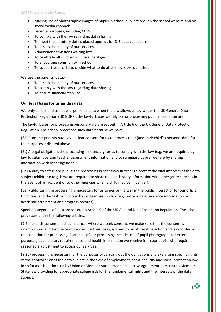- Making use of photographic images of pupils in school publications, on the school website and on social media channels
- Security purposes, including CCTV
- To comply with the law regarding data sharing
- To meet the statutory duties placed upon us for DfE data collections
- To assess the quality of our services
- Administer admissions waiting lists
- To celebrate all children's cultural heritage
- To encourage community in school
- To support your child to decide what to do after they leave our school

We use the parents' data:-

- To assess the quality of our services
- To comply with the law regarding data sharing
- To ensure financial stability

#### **Our legal basis for using this data**

We only collect and use pupils' personal data when the law allows us to. Under the UK General Data Protection Regulation (UK GDPR), the lawful bases we rely on for processing pupil information are:

The lawful bases for processing personal data are set out in Article 6 of the UK General Data Protection Regulation. The school processed such data because we have:

(6a) Consent: parents have given clear consent for us to process their (and their child's) personal data for the purposes indicated above.

(6c) A Legal obligation: the processing is necessary for us to comply with the law (e.g. we are required by law to submit certain teacher assessment information and to safeguard pupils' welfare by sharing information with other agencies).

(6d) A duty to safeguard pupils: the processing is necessary in order to protect the vital interests of the data subject (children); (e.g. if we are required to share medical history information with emergency services in the event of an accident or to other agencies when a child may be in danger).

(6e) Public task: the processing is necessary for us to perform a task in the public interest or for our official functions, and the task or function has a clear basis in law (e.g. processing attendance information or academic attainment and progress records).

Special Categories of data are set out in Article 9 of the UK General Data Protection Regulation. The school processes under the following articles:

(9.2a) explicit consent. In circumstances where we seek consent, we make sure that the consent is unambiguous and for one or more specified purposes, is given by an affirmative action and is recorded as the condition for processing. Examples of our processing include use of pupil photographs for external purposes, pupil dietary requirements, and health information we receive from our pupils who require a reasonable adjustment to access our services.

(9.2b) processing is necessary for the purposes of carrying out the obligations and exercising specific rights of the controller or of the data subject in the field of employment, social security and social protection law in so far as it is authorised by Union or Member State law or a collective agreement pursuant to Member State law providing for appropriate safeguards for the fundamental rights and the interests of the data subject.

 $_4$   $\bigcirc$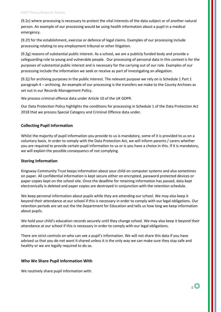(9.2c) where processing is necessary to protect the vital interests of the data subject or of another natural person. An example of our processing would be using health information about a pupil in a medical emergency.

(9.2f) for the establishment, exercise or defence of legal claims. Examples of our processing include processing relating to any employment tribunal or other litigation.

(9.2g) reasons of substantial public interest. As a school, we are a publicly funded body and provide a safeguarding role to young and vulnerable people. Our processing of personal data in this context is for the purposes of substantial public interest and is necessary for the carrying out of our role. Examples of our processing include the information we seek or receive as part of investigating an allegation.

(9.2j) for archiving purposes in the public interest. The relevant purpose we rely on is Schedule 1 Part 1 paragraph 4 – archiving. An example of our processing is the transfers we make to the County Archives as set out in our Records Management Policy.

We process criminal offence data under Article 10 of the UK GDPR.

Our Data Protection Policy highlights the conditions for processing in Schedule 1 of the Data Protection Act 2018 that we process Special Category and Criminal Offence data under.

#### **Collecting Pupil Information**

Whilst the majority of pupil information you provide to us is mandatory, some of it is provided to us on a voluntary basis. In order to comply with the Data Protection Act, we will inform parents / carers whether you are required to provide certain pupil information to us or is you have a choice in this. If it is mandatory, we will explain the possible consequencs of not complying.

#### **Storing Information**

Kingsway Community Trust keeps information about your child on computer systems and also sometimes on paper. All confidential information is kept secure either on encrypted, password protected devices or paper copies kept on the school site. Once the deadline for retaining information has passed, data kept electronically is deleted and paper copies are destroyed in conjunction with the retention schedule.

We keep personal information about pupils while they are attending our school. We may also keep it beyond their attendance at our school if this is necessary in order to comply with our legal obligations. Our retention periods are set out the the Department for Education and tells us how long we keep information about pupils.

We hold your child's education records securely until they change school. We may also keep it beyond their attendance at our school if this is necessary in order to comply with our legal obligations.

There are strict controls on who can see a pupil's information. We will not share this data if you have advised us that you do not want it shared unless it is the only way we can make sure they stay safe and healthy or we are legally required to do so.

#### **Who We Share Pupil Information With**

We routinely share pupil information with: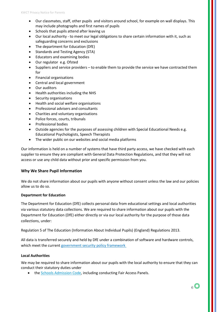- Our classmates, staff, other pupils and visitors around school, for example on wall displays. This may include photographs and first names of pupils
- Schools that pupils attend after leaving us
- Our local authority to meet our legal obligations to share certain information with it, such as safeguarding concerns and exclusions
- The department for Education (DfE)
- Standards and Testing Agency (STA)
- Educators and examining bodies
- Our regulator e.g. Ofsted
- Suppliers and service providers to enable them to provide the service we have contracted them for
- Financial organisations
- Central and local government
- Our auditors
- Health authorities including the NHS
- Security organisations
- Health and social welfare organisations
- Professional advisers and consultants
- Charities and voluntary organisations
- Police forces, courts, tribunals
- Professional bodies
- Outside agencies for the purposes of assessing children with Special Educational Needs e.g. Educational Psychologists, Speech Therapists
- The wider public on our websites and social media platforms

Our information is held on a number of systems that have third party access, we have checked with each supplier to ensure they are compliant with General Data Protection Regulations, and that they will not access or use any child data without prior and specific permission from you.

#### **Why We Share Pupil Information**

We do not share information about our pupils with anyone without consent unless the law and our policies allow us to do so.

#### **Department for Education**

The Department for Education (DfE) collects personal data from educational settings and local authorities via various statutory data collections. We are required to share information about our pupils with the Department for Education (DfE) either directly or via our local authority for the purpose of those data collections, under:

Regulation 5 of The Education (Information About Individual Pupils) (England) Regulations 2013.

All data is transferred securely and held by DfE under a combination of software and hardware controls, which meet the curren[t government security policy framework](https://www.gov.uk/government/publications/security-policy-framework)

#### **Local Authorities**

We may be required to share information about our pupils with the local authority to ensure that they can conduct their statutory duties under

• the [Schools Admission Code,](https://www.gov.uk/government/publications/school-admissions-code--2) including conducting Fair Access Panels.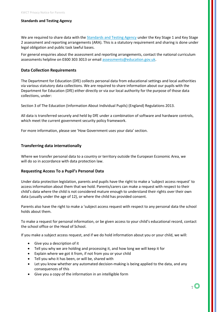#### **Standards and Testing Agency**

We are required to share data with the **Standards and Testing Agency** under the Key Stage 1 and Key Stage 2 assessment and reporting arrangements (ARA). This is a statutory requirement and sharing is done under legal obligation and public task lawful bases.

For general enquiries about the assessment and reporting arrangements, contact the national curriculum assessments helpline on 0300 303 3013 or emai[l assessments@education.gov.uk.](mailto:assessments@education.gov.uk)

#### **Data Collection Requirements**

The Department for Education (DfE) collects personal data from educational settings and local authorities via various statutory data collections. We are required to share information about our pupils with the Department for Education (DfE) either directly or via our local authority for the purpose of those data collections, under:

Section 3 of The Education (Information About Individual Pupils) (England) Regulations 2013.

All data is transferred securely and held by DfE under a combination of software and hardware controls, which meet the current government security policy framework.

For more information, please see 'How Government uses your data' section.

#### **Transferring data internationally**

Where we transfer personal data to a country or territory outside the European Economic Area, we will do so in accordance with data protection law.

#### **Requesting Access To a Pupil's Personal Data**

Under data protection legislation, parents and pupils have the right to make a 'subject access request' to access information about them that we hold. Parents/carers can make a request with respect to their child's data where the child is not considered mature enough to understand their rights over their own data (usually under the age of 12), or where the child has provided consent.

Parents also have the right to make a 'subject access request with respect to any personal data the school holds about them.

To make a request for personal information, or be given access to your child's educational record, contact the school office or the Head of School.

If you make a subject access request, and if we do hold information about you or your child, we will:

- Give you a description of it
- Tell you why we are holding and processing it, and how long we will keep it for
- Explain where we got it from, if not from you or your child
- Tell you who it has been, or will be, shared with
- Let you know whether any automated decision-making is being applied to the data, and any consequences of this
- Give you a copy of the information in an intelligible form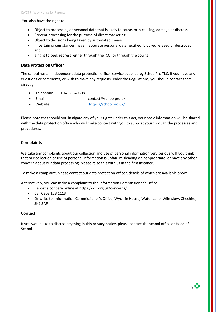You also have the right to:

- Object to processing of personal data that is likely to cause, or is causing, damage or distress
- Prevent processing for the purpose of direct marketing
- Object to decisions being taken by automated means
- In certain circumstances, have inaccurate personal data rectified, blocked, erased or destroyed; and
- a right to seek redress, either through the ICO, or through the courts

#### **Data Protection Officer**

The school has an independent data protection officer service supplied by SchoolPro TLC. If you have any questions or comments, or wish to make any requests under the Regulations, you should contact them directly:

- Telephone 01452 540608
- Email contact@schoolpro.uk
- Website https://schoolpro.uk/

Please note that should you instigate any of your rights under this act, your basic information will be shared with the data protection office who will make contact with you to support your through the processes and procedures.

#### **Complaints**

We take any complaints about our collection and use of personal information very seriously. If you think that our collection or use of personal information is unfair, misleading or inappropriate, or have any other concern about our data processing, please raise this with us in the first instance.

To make a complaint, please contact our data protection officer, details of which are available above.

Alternatively, you can make a complaint to the Information Commissioner's Office:

- Report a concern online at<https://ico.org.uk/concerns/>
- Call 0303 123 1113
- Or write to: Information Commissioner's Office, Wycliffe House, Water Lane, Wilmslow, Cheshire, SK9 5AF

#### **Contact**

If you would like to discuss anything in this privacy notice, please contact the school office or Head of School.